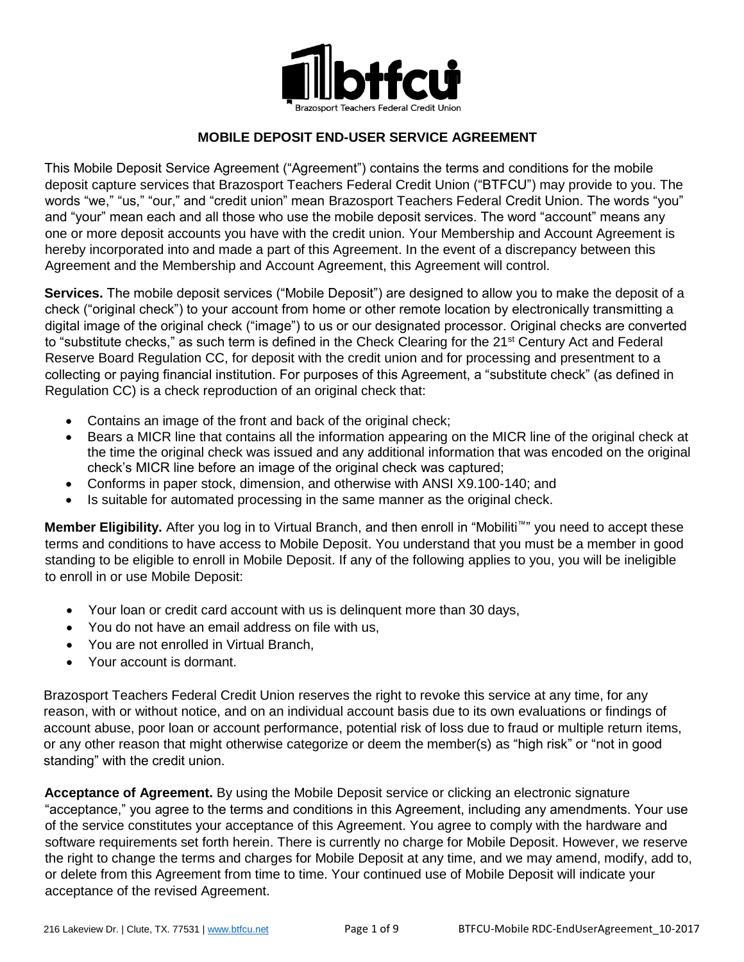

## **MOBILE DEPOSIT END-USER SERVICE AGREEMENT**

This Mobile Deposit Service Agreement ("Agreement") contains the terms and conditions for the mobile deposit capture services that Brazosport Teachers Federal Credit Union ("BTFCU") may provide to you. The words "we," "us," "our," and "credit union" mean Brazosport Teachers Federal Credit Union. The words "you" and "your" mean each and all those who use the mobile deposit services. The word "account" means any one or more deposit accounts you have with the credit union. Your Membership and Account Agreement is hereby incorporated into and made a part of this Agreement. In the event of a discrepancy between this Agreement and the Membership and Account Agreement, this Agreement will control.

**Services.** The mobile deposit services ("Mobile Deposit") are designed to allow you to make the deposit of a check ("original check") to your account from home or other remote location by electronically transmitting a digital image of the original check ("image") to us or our designated processor. Original checks are converted to "substitute checks," as such term is defined in the Check Clearing for the 21<sup>st</sup> Century Act and Federal Reserve Board Regulation CC, for deposit with the credit union and for processing and presentment to a collecting or paying financial institution. For purposes of this Agreement, a "substitute check" (as defined in Regulation CC) is a check reproduction of an original check that:

- Contains an image of the front and back of the original check;
- Bears a MICR line that contains all the information appearing on the MICR line of the original check at the time the original check was issued and any additional information that was encoded on the original check's MICR line before an image of the original check was captured;
- Conforms in paper stock, dimension, and otherwise with ANSI X9.100-140; and
- Is suitable for automated processing in the same manner as the original check.

**Member Eligibility.** After you log in to Virtual Branch, and then enroll in "Mobiliti™" you need to accept these terms and conditions to have access to Mobile Deposit. You understand that you must be a member in good standing to be eligible to enroll in Mobile Deposit. If any of the following applies to you, you will be ineligible to enroll in or use Mobile Deposit:

- Your loan or credit card account with us is delinquent more than 30 days,
- You do not have an email address on file with us,
- You are not enrolled in Virtual Branch,
- Your account is dormant.

Brazosport Teachers Federal Credit Union reserves the right to revoke this service at any time, for any reason, with or without notice, and on an individual account basis due to its own evaluations or findings of account abuse, poor loan or account performance, potential risk of loss due to fraud or multiple return items, or any other reason that might otherwise categorize or deem the member(s) as "high risk" or "not in good standing" with the credit union.

**Acceptance of Agreement.** By using the Mobile Deposit service or clicking an electronic signature "acceptance," you agree to the terms and conditions in this Agreement, including any amendments. Your use of the service constitutes your acceptance of this Agreement. You agree to comply with the hardware and software requirements set forth herein. There is currently no charge for Mobile Deposit. However, we reserve the right to change the terms and charges for Mobile Deposit at any time, and we may amend, modify, add to, or delete from this Agreement from time to time. Your continued use of Mobile Deposit will indicate your acceptance of the revised Agreement.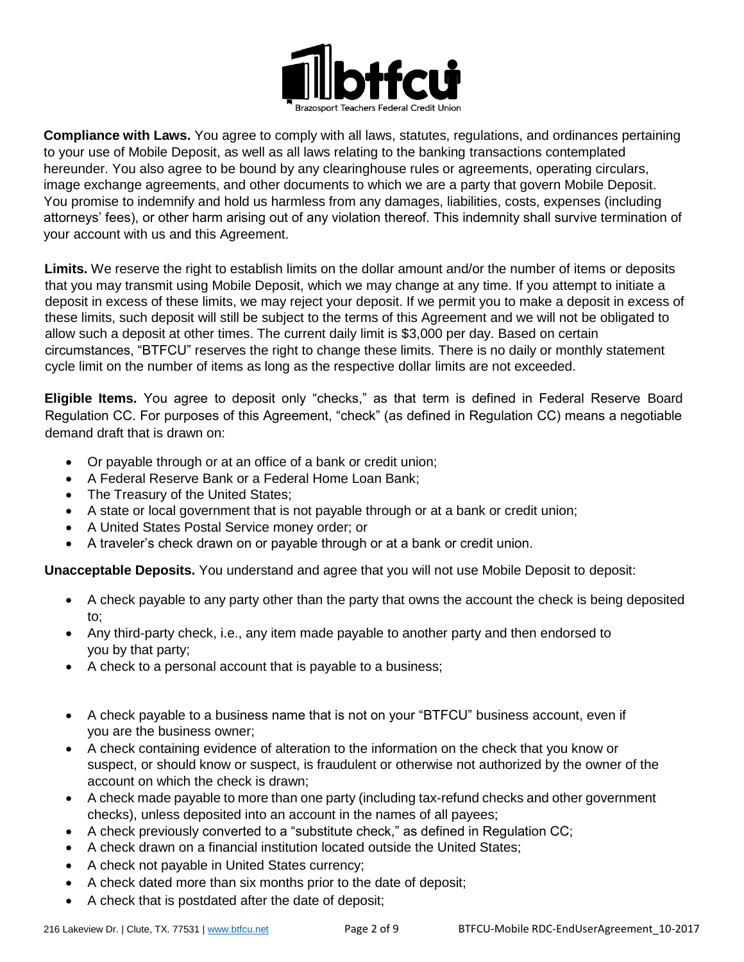

**Compliance with Laws.** You agree to comply with all laws, statutes, regulations, and ordinances pertaining to your use of Mobile Deposit, as well as all laws relating to the banking transactions contemplated hereunder. You also agree to be bound by any clearinghouse rules or agreements, operating circulars, image exchange agreements, and other documents to which we are a party that govern Mobile Deposit. You promise to indemnify and hold us harmless from any damages, liabilities, costs, expenses (including attorneys' fees), or other harm arising out of any violation thereof. This indemnity shall survive termination of your account with us and this Agreement.

**Limits.** We reserve the right to establish limits on the dollar amount and/or the number of items or deposits that you may transmit using Mobile Deposit, which we may change at any time. If you attempt to initiate a deposit in excess of these limits, we may reject your deposit. If we permit you to make a deposit in excess of these limits, such deposit will still be subject to the terms of this Agreement and we will not be obligated to allow such a deposit at other times. The current daily limit is \$3,000 per day. Based on certain circumstances, "BTFCU" reserves the right to change these limits. There is no daily or monthly statement cycle limit on the number of items as long as the respective dollar limits are not exceeded.

**Eligible Items.** You agree to deposit only "checks," as that term is defined in Federal Reserve Board Regulation CC. For purposes of this Agreement, "check" (as defined in Regulation CC) means a negotiable demand draft that is drawn on:

- Or payable through or at an office of a bank or credit union;
- A Federal Reserve Bank or a Federal Home Loan Bank;
- The Treasury of the United States;
- A state or local government that is not payable through or at a bank or credit union;
- A United States Postal Service money order; or
- A traveler's check drawn on or payable through or at a bank or credit union.

**Unacceptable Deposits.** You understand and agree that you will not use Mobile Deposit to deposit:

- A check payable to any party other than the party that owns the account the check is being deposited to;
- Any third-party check, i.e., any item made payable to another party and then endorsed to you by that party;
- A check to a personal account that is payable to a business;
- A check payable to a business name that is not on your "BTFCU" business account, even if you are the business owner;
- A check containing evidence of alteration to the information on the check that you know or suspect, or should know or suspect, is fraudulent or otherwise not authorized by the owner of the account on which the check is drawn;
- A check made payable to more than one party (including tax-refund checks and other government checks), unless deposited into an account in the names of all payees;
- A check previously converted to a "substitute check," as defined in Regulation CC;
- A check drawn on a financial institution located outside the United States;
- A check not payable in United States currency;
- A check dated more than six months prior to the date of deposit;
- A check that is postdated after the date of deposit;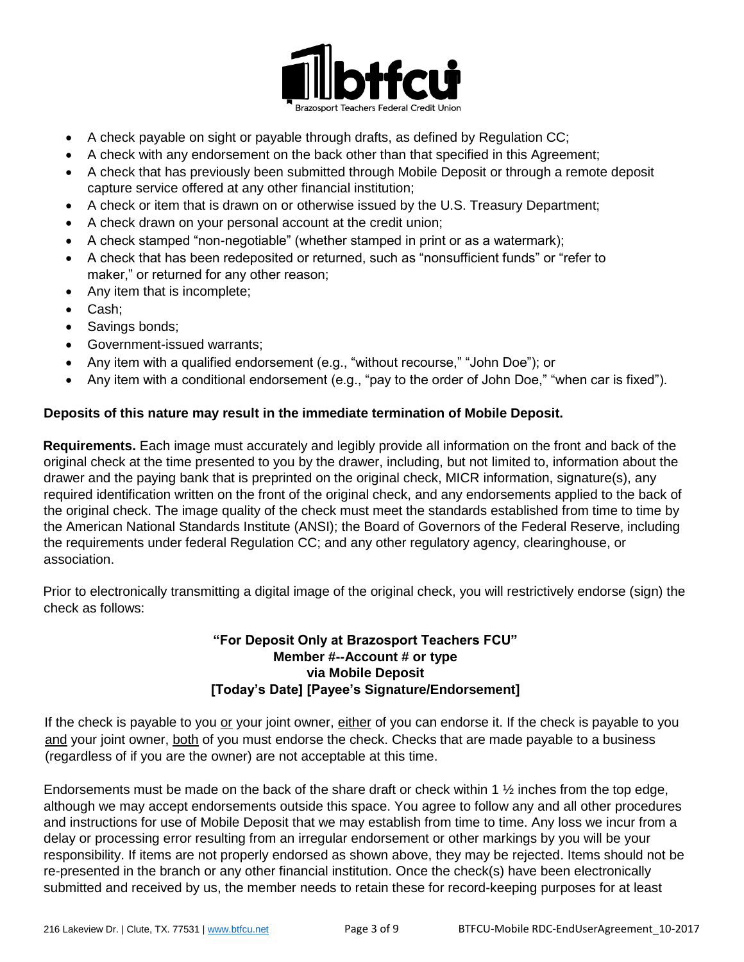

- A check payable on sight or payable through drafts, as defined by Regulation CC;
- A check with any endorsement on the back other than that specified in this Agreement;
- A check that has previously been submitted through Mobile Deposit or through a remote deposit capture service offered at any other financial institution;
- A check or item that is drawn on or otherwise issued by the U.S. Treasury Department;
- A check drawn on your personal account at the credit union;
- A check stamped "non-negotiable" (whether stamped in print or as a watermark);
- A check that has been redeposited or returned, such as "nonsufficient funds" or "refer to maker," or returned for any other reason;
- Any item that is incomplete;
- Cash;
- Savings bonds;
- Government-issued warrants;
- Any item with a qualified endorsement (e.g., "without recourse," "John Doe"); or
- Any item with a conditional endorsement (e.g., "pay to the order of John Doe," "when car is fixed").

## **Deposits of this nature may result in the immediate termination of Mobile Deposit.**

**Requirements.** Each image must accurately and legibly provide all information on the front and back of the original check at the time presented to you by the drawer, including, but not limited to, information about the drawer and the paying bank that is preprinted on the original check, MICR information, signature(s), any required identification written on the front of the original check, and any endorsements applied to the back of the original check. The image quality of the check must meet the standards established from time to time by the American National Standards Institute (ANSI); the Board of Governors of the Federal Reserve, including the requirements under federal Regulation CC; and any other regulatory agency, clearinghouse, or association.

Prior to electronically transmitting a digital image of the original check, you will restrictively endorse (sign) the check as follows:

## **"For Deposit Only at Brazosport Teachers FCU" Member #--Account # or type via Mobile Deposit [Today's Date] [Payee's Signature/Endorsement]**

If the check is payable to you or your joint owner, either of you can endorse it. If the check is payable to you and your joint owner, both of you must endorse the check. Checks that are made payable to a business (regardless of if you are the owner) are not acceptable at this time.

Endorsements must be made on the back of the share draft or check within 1  $\frac{1}{2}$  inches from the top edge, although we may accept endorsements outside this space. You agree to follow any and all other procedures and instructions for use of Mobile Deposit that we may establish from time to time. Any loss we incur from a delay or processing error resulting from an irregular endorsement or other markings by you will be your responsibility. If items are not properly endorsed as shown above, they may be rejected. Items should not be re-presented in the branch or any other financial institution. Once the check(s) have been electronically submitted and received by us, the member needs to retain these for record-keeping purposes for at least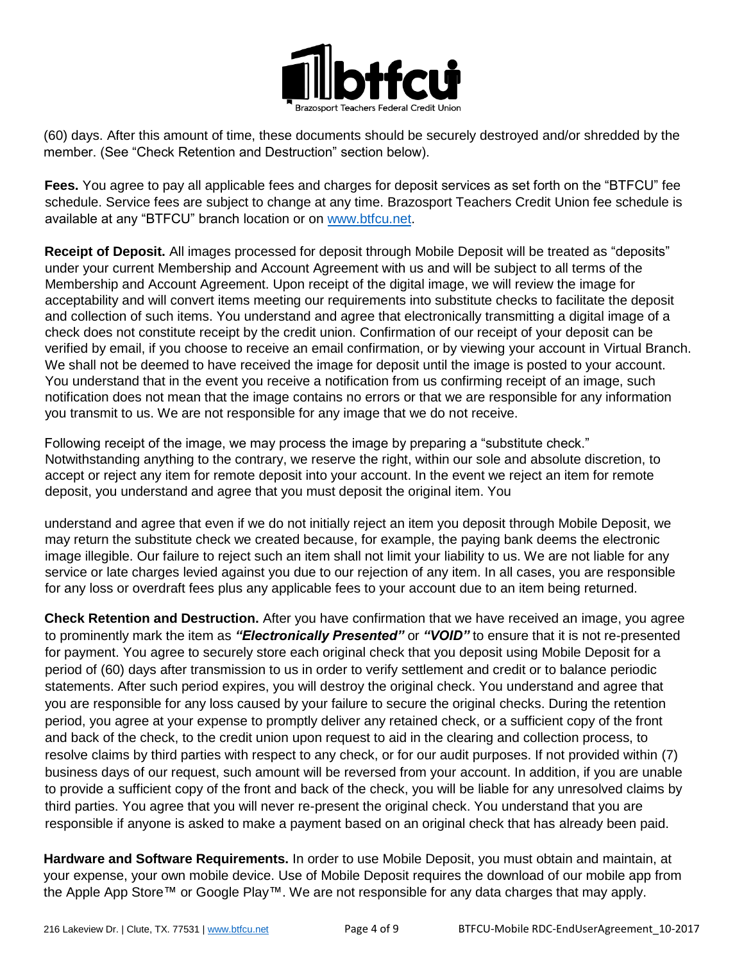

(60) days. After this amount of time, these documents should be securely destroyed and/or shredded by the member. (See "Check Retention and Destruction" section below).

**Fees.** You agree to pay all applicable fees and charges for deposit services as set forth on the "BTFCU" fee schedule. Service fees are subject to change at any time. Brazosport Teachers Credit Union fee schedule is available at any "BTFCU" branch location or on [www.btfcu.net.](http://www.btfcu.net/)

**Receipt of Deposit.** All images processed for deposit through Mobile Deposit will be treated as "deposits" under your current Membership and Account Agreement with us and will be subject to all terms of the Membership and Account Agreement. Upon receipt of the digital image, we will review the image for acceptability and will convert items meeting our requirements into substitute checks to facilitate the deposit and collection of such items. You understand and agree that electronically transmitting a digital image of a check does not constitute receipt by the credit union. Confirmation of our receipt of your deposit can be verified by email, if you choose to receive an email confirmation, or by viewing your account in Virtual Branch. We shall not be deemed to have received the image for deposit until the image is posted to your account. You understand that in the event you receive a notification from us confirming receipt of an image, such notification does not mean that the image contains no errors or that we are responsible for any information you transmit to us. We are not responsible for any image that we do not receive.

Following receipt of the image, we may process the image by preparing a "substitute check." Notwithstanding anything to the contrary, we reserve the right, within our sole and absolute discretion, to accept or reject any item for remote deposit into your account. In the event we reject an item for remote deposit, you understand and agree that you must deposit the original item. You

understand and agree that even if we do not initially reject an item you deposit through Mobile Deposit, we may return the substitute check we created because, for example, the paying bank deems the electronic image illegible. Our failure to reject such an item shall not limit your liability to us. We are not liable for any service or late charges levied against you due to our rejection of any item. In all cases, you are responsible for any loss or overdraft fees plus any applicable fees to your account due to an item being returned.

**Check Retention and Destruction.** After you have confirmation that we have received an image, you agree to prominently mark the item as *"Electronically Presented"* or *"VOID"* to ensure that it is not re-presented for payment. You agree to securely store each original check that you deposit using Mobile Deposit for a period of (60) days after transmission to us in order to verify settlement and credit or to balance periodic statements. After such period expires, you will destroy the original check. You understand and agree that you are responsible for any loss caused by your failure to secure the original checks. During the retention period, you agree at your expense to promptly deliver any retained check, or a sufficient copy of the front and back of the check, to the credit union upon request to aid in the clearing and collection process, to resolve claims by third parties with respect to any check, or for our audit purposes. If not provided within (7) business days of our request, such amount will be reversed from your account. In addition, if you are unable to provide a sufficient copy of the front and back of the check, you will be liable for any unresolved claims by third parties. You agree that you will never re-present the original check. You understand that you are responsible if anyone is asked to make a payment based on an original check that has already been paid.

**Hardware and Software Requirements.** In order to use Mobile Deposit, you must obtain and maintain, at your expense, your own mobile device. Use of Mobile Deposit requires the download of our mobile app from the Apple App Store™ or Google Play™. We are not responsible for any data charges that may apply.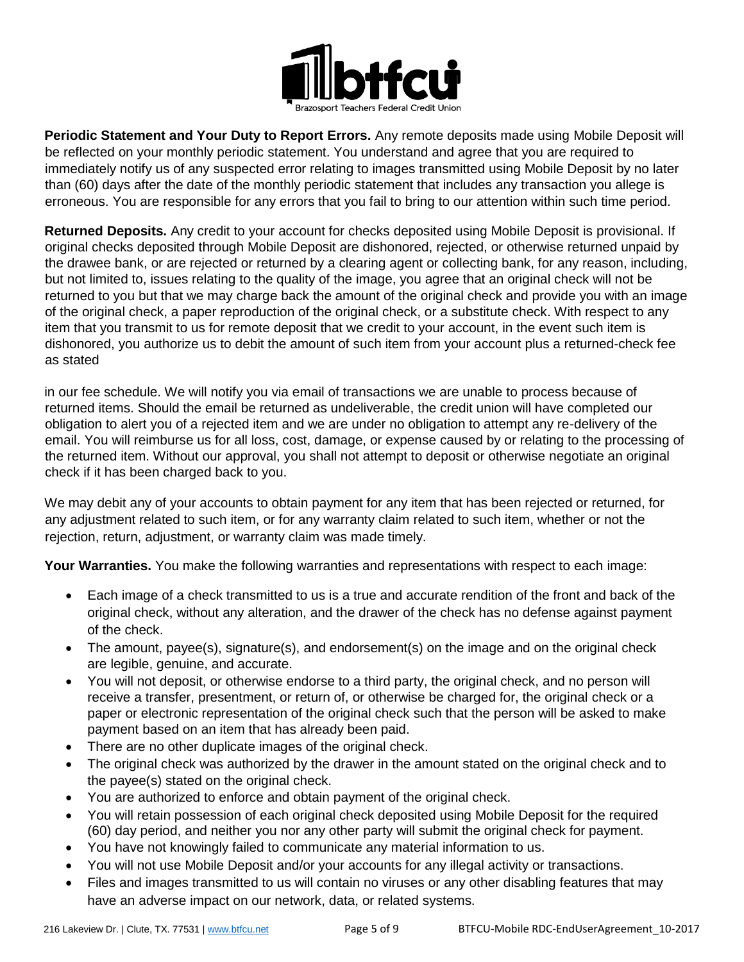

**Periodic Statement and Your Duty to Report Errors.** Any remote deposits made using Mobile Deposit will be reflected on your monthly periodic statement. You understand and agree that you are required to immediately notify us of any suspected error relating to images transmitted using Mobile Deposit by no later than (60) days after the date of the monthly periodic statement that includes any transaction you allege is erroneous. You are responsible for any errors that you fail to bring to our attention within such time period.

**Returned Deposits.** Any credit to your account for checks deposited using Mobile Deposit is provisional. If original checks deposited through Mobile Deposit are dishonored, rejected, or otherwise returned unpaid by the drawee bank, or are rejected or returned by a clearing agent or collecting bank, for any reason, including, but not limited to, issues relating to the quality of the image, you agree that an original check will not be returned to you but that we may charge back the amount of the original check and provide you with an image of the original check, a paper reproduction of the original check, or a substitute check. With respect to any item that you transmit to us for remote deposit that we credit to your account, in the event such item is dishonored, you authorize us to debit the amount of such item from your account plus a returned-check fee as stated

in our fee schedule. We will notify you via email of transactions we are unable to process because of returned items. Should the email be returned as undeliverable, the credit union will have completed our obligation to alert you of a rejected item and we are under no obligation to attempt any re-delivery of the email. You will reimburse us for all loss, cost, damage, or expense caused by or relating to the processing of the returned item. Without our approval, you shall not attempt to deposit or otherwise negotiate an original check if it has been charged back to you.

We may debit any of your accounts to obtain payment for any item that has been rejected or returned, for any adjustment related to such item, or for any warranty claim related to such item, whether or not the rejection, return, adjustment, or warranty claim was made timely.

**Your Warranties.** You make the following warranties and representations with respect to each image:

- Each image of a check transmitted to us is a true and accurate rendition of the front and back of the original check, without any alteration, and the drawer of the check has no defense against payment of the check.
- The amount, payee(s), signature(s), and endorsement(s) on the image and on the original check are legible, genuine, and accurate.
- You will not deposit, or otherwise endorse to a third party, the original check, and no person will receive a transfer, presentment, or return of, or otherwise be charged for, the original check or a paper or electronic representation of the original check such that the person will be asked to make payment based on an item that has already been paid.
- There are no other duplicate images of the original check.
- The original check was authorized by the drawer in the amount stated on the original check and to the payee(s) stated on the original check.
- You are authorized to enforce and obtain payment of the original check.
- You will retain possession of each original check deposited using Mobile Deposit for the required (60) day period, and neither you nor any other party will submit the original check for payment.
- You have not knowingly failed to communicate any material information to us.
- You will not use Mobile Deposit and/or your accounts for any illegal activity or transactions.
- Files and images transmitted to us will contain no viruses or any other disabling features that may have an adverse impact on our network, data, or related systems.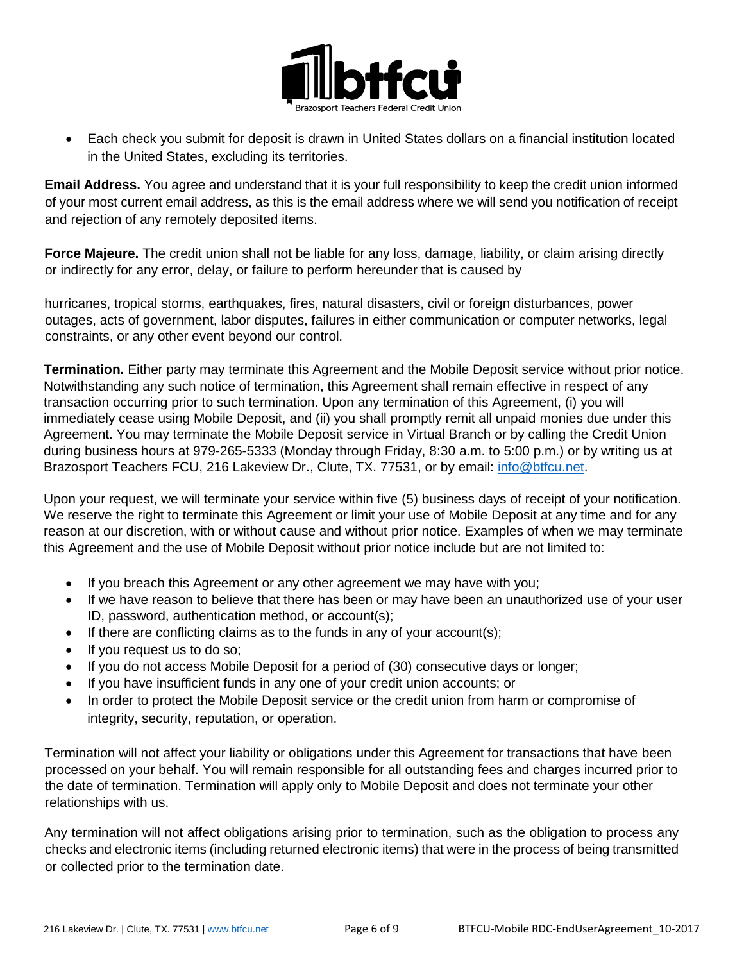

 Each check you submit for deposit is drawn in United States dollars on a financial institution located in the United States, excluding its territories.

**Email Address.** You agree and understand that it is your full responsibility to keep the credit union informed of your most current email address, as this is the email address where we will send you notification of receipt and rejection of any remotely deposited items.

**Force Majeure.** The credit union shall not be liable for any loss, damage, liability, or claim arising directly or indirectly for any error, delay, or failure to perform hereunder that is caused by

hurricanes, tropical storms, earthquakes, fires, natural disasters, civil or foreign disturbances, power outages, acts of government, labor disputes, failures in either communication or computer networks, legal constraints, or any other event beyond our control.

**Termination.** Either party may terminate this Agreement and the Mobile Deposit service without prior notice. Notwithstanding any such notice of termination, this Agreement shall remain effective in respect of any transaction occurring prior to such termination. Upon any termination of this Agreement, (i) you will immediately cease using Mobile Deposit, and (ii) you shall promptly remit all unpaid monies due under this Agreement. You may terminate the Mobile Deposit service in Virtual Branch or by calling the Credit Union during business hours at 979-265-5333 (Monday through Friday, 8:30 a.m. to 5:00 p.m.) or by writing us at Brazosport Teachers FCU, 216 Lakeview Dr., Clute, TX. 77531, or by email: [info@btfcu.net.](mailto:info@btfcu.net)

Upon your request, we will terminate your service within five (5) business days of receipt of your notification. We reserve the right to terminate this Agreement or limit your use of Mobile Deposit at any time and for any reason at our discretion, with or without cause and without prior notice. Examples of when we may terminate this Agreement and the use of Mobile Deposit without prior notice include but are not limited to:

- If you breach this Agreement or any other agreement we may have with you;
- If we have reason to believe that there has been or may have been an unauthorized use of your user ID, password, authentication method, or account(s);
- If there are conflicting claims as to the funds in any of your account(s);
- If you request us to do so;
- If you do not access Mobile Deposit for a period of (30) consecutive days or longer;
- If you have insufficient funds in any one of your credit union accounts; or
- In order to protect the Mobile Deposit service or the credit union from harm or compromise of integrity, security, reputation, or operation.

Termination will not affect your liability or obligations under this Agreement for transactions that have been processed on your behalf. You will remain responsible for all outstanding fees and charges incurred prior to the date of termination. Termination will apply only to Mobile Deposit and does not terminate your other relationships with us.

Any termination will not affect obligations arising prior to termination, such as the obligation to process any checks and electronic items (including returned electronic items) that were in the process of being transmitted or collected prior to the termination date.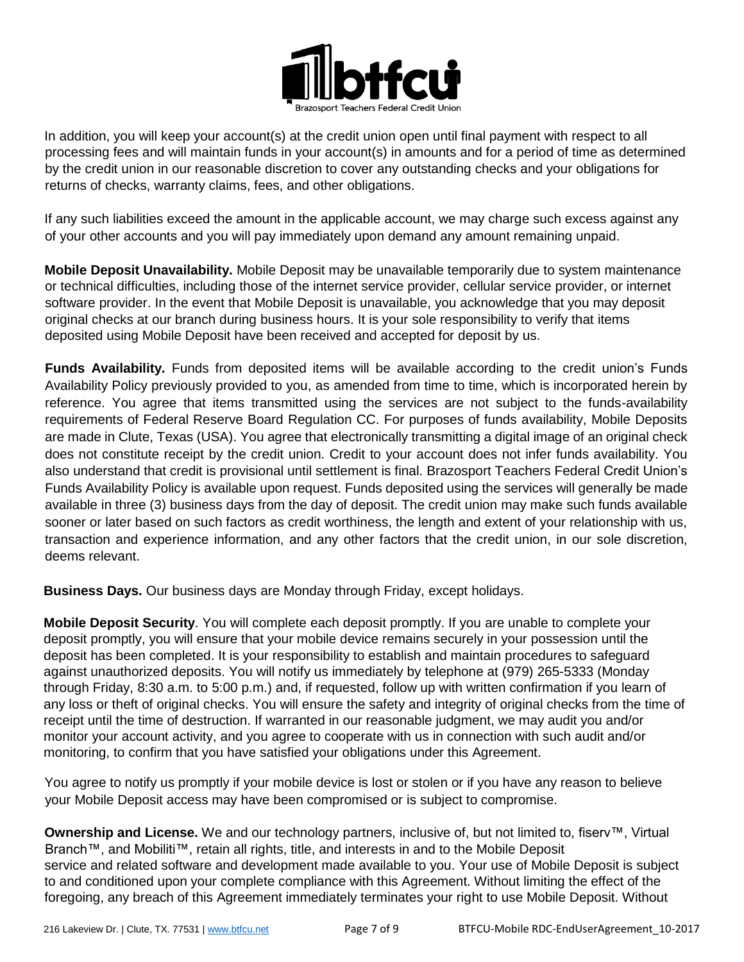

In addition, you will keep your account(s) at the credit union open until final payment with respect to all processing fees and will maintain funds in your account(s) in amounts and for a period of time as determined by the credit union in our reasonable discretion to cover any outstanding checks and your obligations for returns of checks, warranty claims, fees, and other obligations.

If any such liabilities exceed the amount in the applicable account, we may charge such excess against any of your other accounts and you will pay immediately upon demand any amount remaining unpaid.

**Mobile Deposit Unavailability.** Mobile Deposit may be unavailable temporarily due to system maintenance or technical difficulties, including those of the internet service provider, cellular service provider, or internet software provider. In the event that Mobile Deposit is unavailable, you acknowledge that you may deposit original checks at our branch during business hours. It is your sole responsibility to verify that items deposited using Mobile Deposit have been received and accepted for deposit by us.

**Funds Availability.** Funds from deposited items will be available according to the credit union's Funds Availability Policy previously provided to you, as amended from time to time, which is incorporated herein by reference. You agree that items transmitted using the services are not subject to the funds-availability requirements of Federal Reserve Board Regulation CC. For purposes of funds availability, Mobile Deposits are made in Clute, Texas (USA). You agree that electronically transmitting a digital image of an original check does not constitute receipt by the credit union. Credit to your account does not infer funds availability. You also understand that credit is provisional until settlement is final. Brazosport Teachers Federal Credit Union's Funds Availability Policy is available upon request. Funds deposited using the services will generally be made available in three (3) business days from the day of deposit. The credit union may make such funds available sooner or later based on such factors as credit worthiness, the length and extent of your relationship with us, transaction and experience information, and any other factors that the credit union, in our sole discretion, deems relevant.

**Business Days.** Our business days are Monday through Friday, except holidays.

**Mobile Deposit Security**. You will complete each deposit promptly. If you are unable to complete your deposit promptly, you will ensure that your mobile device remains securely in your possession until the deposit has been completed. It is your responsibility to establish and maintain procedures to safeguard against unauthorized deposits. You will notify us immediately by telephone at (979) 265-5333 (Monday through Friday, 8:30 a.m. to 5:00 p.m.) and, if requested, follow up with written confirmation if you learn of any loss or theft of original checks. You will ensure the safety and integrity of original checks from the time of receipt until the time of destruction. If warranted in our reasonable judgment, we may audit you and/or monitor your account activity, and you agree to cooperate with us in connection with such audit and/or monitoring, to confirm that you have satisfied your obligations under this Agreement.

You agree to notify us promptly if your mobile device is lost or stolen or if you have any reason to believe your Mobile Deposit access may have been compromised or is subject to compromise.

**Ownership and License.** We and our technology partners, inclusive of, but not limited to, fiserv™, Virtual Branch™, and Mobiliti™, retain all rights, title, and interests in and to the Mobile Deposit service and related software and development made available to you. Your use of Mobile Deposit is subject to and conditioned upon your complete compliance with this Agreement. Without limiting the effect of the foregoing, any breach of this Agreement immediately terminates your right to use Mobile Deposit. Without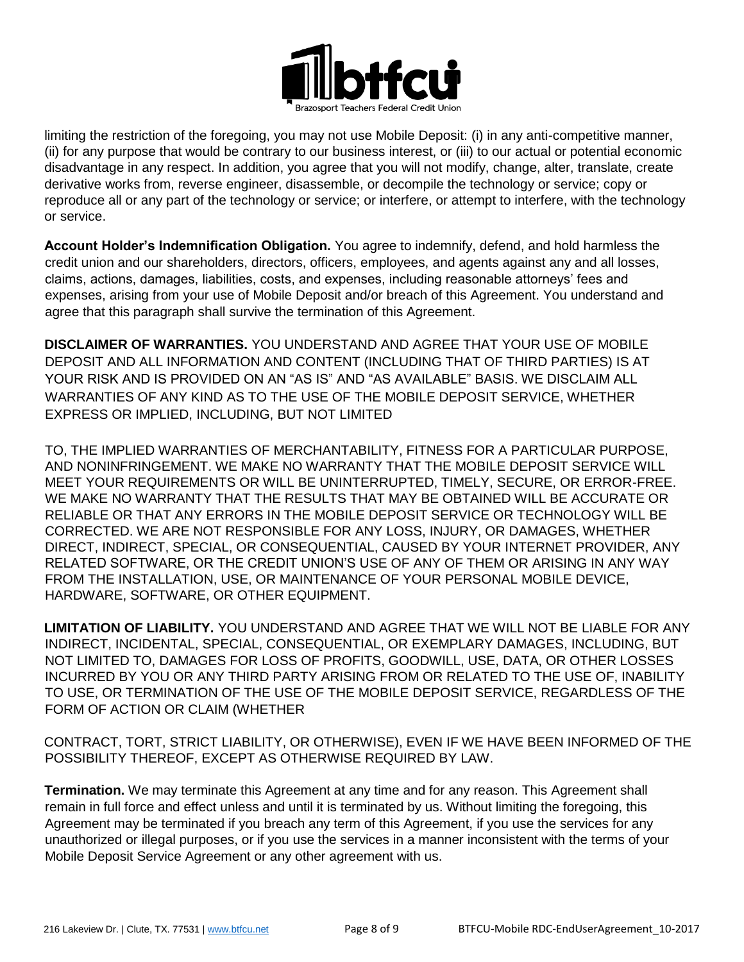

limiting the restriction of the foregoing, you may not use Mobile Deposit: (i) in any anti-competitive manner, (ii) for any purpose that would be contrary to our business interest, or (iii) to our actual or potential economic disadvantage in any respect. In addition, you agree that you will not modify, change, alter, translate, create derivative works from, reverse engineer, disassemble, or decompile the technology or service; copy or reproduce all or any part of the technology or service; or interfere, or attempt to interfere, with the technology or service.

**Account Holder's Indemnification Obligation.** You agree to indemnify, defend, and hold harmless the credit union and our shareholders, directors, officers, employees, and agents against any and all losses, claims, actions, damages, liabilities, costs, and expenses, including reasonable attorneys' fees and expenses, arising from your use of Mobile Deposit and/or breach of this Agreement. You understand and agree that this paragraph shall survive the termination of this Agreement.

**DISCLAIMER OF WARRANTIES.** YOU UNDERSTAND AND AGREE THAT YOUR USE OF MOBILE DEPOSIT AND ALL INFORMATION AND CONTENT (INCLUDING THAT OF THIRD PARTIES) IS AT YOUR RISK AND IS PROVIDED ON AN "AS IS" AND "AS AVAILABLE" BASIS. WE DISCLAIM ALL WARRANTIES OF ANY KIND AS TO THE USE OF THE MOBILE DEPOSIT SERVICE, WHETHER EXPRESS OR IMPLIED, INCLUDING, BUT NOT LIMITED

TO, THE IMPLIED WARRANTIES OF MERCHANTABILITY, FITNESS FOR A PARTICULAR PURPOSE, AND NONINFRINGEMENT. WE MAKE NO WARRANTY THAT THE MOBILE DEPOSIT SERVICE WILL MEET YOUR REQUIREMENTS OR WILL BE UNINTERRUPTED, TIMELY, SECURE, OR ERROR-FREE. WE MAKE NO WARRANTY THAT THE RESULTS THAT MAY BE OBTAINED WILL BE ACCURATE OR RELIABLE OR THAT ANY ERRORS IN THE MOBILE DEPOSIT SERVICE OR TECHNOLOGY WILL BE CORRECTED. WE ARE NOT RESPONSIBLE FOR ANY LOSS, INJURY, OR DAMAGES, WHETHER DIRECT, INDIRECT, SPECIAL, OR CONSEQUENTIAL, CAUSED BY YOUR INTERNET PROVIDER, ANY RELATED SOFTWARE, OR THE CREDIT UNION'S USE OF ANY OF THEM OR ARISING IN ANY WAY FROM THE INSTALLATION, USE, OR MAINTENANCE OF YOUR PERSONAL MOBILE DEVICE, HARDWARE, SOFTWARE, OR OTHER EQUIPMENT.

**LIMITATION OF LIABILITY.** YOU UNDERSTAND AND AGREE THAT WE WILL NOT BE LIABLE FOR ANY INDIRECT, INCIDENTAL, SPECIAL, CONSEQUENTIAL, OR EXEMPLARY DAMAGES, INCLUDING, BUT NOT LIMITED TO, DAMAGES FOR LOSS OF PROFITS, GOODWILL, USE, DATA, OR OTHER LOSSES INCURRED BY YOU OR ANY THIRD PARTY ARISING FROM OR RELATED TO THE USE OF, INABILITY TO USE, OR TERMINATION OF THE USE OF THE MOBILE DEPOSIT SERVICE, REGARDLESS OF THE FORM OF ACTION OR CLAIM (WHETHER

CONTRACT, TORT, STRICT LIABILITY, OR OTHERWISE), EVEN IF WE HAVE BEEN INFORMED OF THE POSSIBILITY THEREOF, EXCEPT AS OTHERWISE REQUIRED BY LAW.

**Termination.** We may terminate this Agreement at any time and for any reason. This Agreement shall remain in full force and effect unless and until it is terminated by us. Without limiting the foregoing, this Agreement may be terminated if you breach any term of this Agreement, if you use the services for any unauthorized or illegal purposes, or if you use the services in a manner inconsistent with the terms of your Mobile Deposit Service Agreement or any other agreement with us.